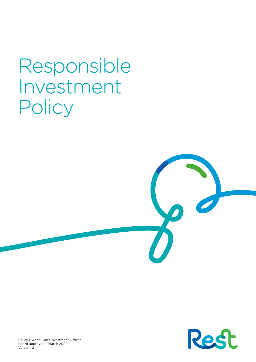# Responsible Investment **Policy**

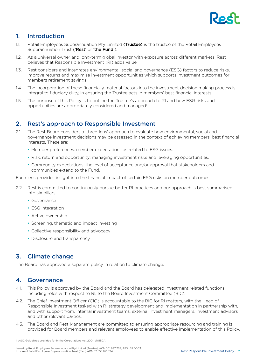

# 1. Introduction

- 1.1. Retail Employees Superannuation Pty Limited (Trustee) is the trustee of the Retail Employees Superannuation Trust ('Rest' or 'the Fund').
- 1.2. As a universal owner and long-term global investor with exposure across different markets, Rest believes that Responsible Investment (RI) adds value.
- 1.3. Rest considers and integrates environmental, social and governance (ESG) factors to reduce risks, improve returns and maximise investment opportunities which supports investment outcomes for members retirement savings.
- 1.4. The incorporation of these financially material factors into the investment decision making process is integral to fiduciary duty, in ensuring the Trustee acts in members' best financial interests.
- 1.5. The purpose of this Policy is to outline the Trustee's approach to RI and how ESG risks and opportunities are appropriately considered and managed<sup>1</sup>.

# 2. Rest's approach to Responsible Investment

- 2.1. The Rest Board considers a 'three-lens' approach to evaluate how environmental, social and governance investment decisions may be assessed in the context of achieving members' best financial interests. These are:
	- Member preferences: member expectations as related to ESG issues.
	- Risk, return and opportunity: managing investment risks and leveraging opportunities.
	- Community expectations: the level of acceptance and/or approval that stakeholders and communities extend to the Fund.

Each lens provides insight into the financial impact of certain ESG risks on member outcomes.

- 2.2. Rest is committed to continuously pursue better RI practices and our approach is best summarised into six pillars:
	- Governance
	- **ESG** integration
	- Active ownership
	- Screening, thematic and impact investing
	- Collective responsibility and advocacy
	- Disclosure and transparency

# 3. Climate change

The Board has approved a separate policy in relation to climate change.

## 4. Governance

- 4.1. This Policy is approved by the Board and the Board has delegated investment related functions, including roles with respect to RI, to the Board Investment Committee (BIC).
- 4.2. The Chief Investment Officer (CIO) is accountable to the BIC for RI matters, with the Head of Responsible Investment tasked with RI strategy development and implementation in partnership with, and with support from, internal investment teams, external investment managers, investment advisors and other relevant parties.
- 4.3. The Board and Rest Management are committed to ensuring appropriate resourcing and training is provided for Board members and relevant employees to enable effective implementation of this Policy.

<sup>1</sup> ASIC Guidelines provided for in the Corporations Act 2001, s1013DA.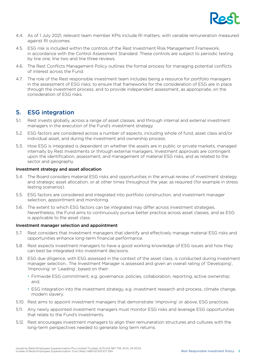

- 4.4. As of 1 July 2021, relevant team member KPIs include RI matters, with variable remuneration measured against RI outcomes.
- 4.5. ESG risk is included within the controls of the Rest Investment Risk Management Framework, in accordance with the Control Assessment Standard. These controls are subject to periodic testing by line one, line two and line three reviews.
- 4.6. The Rest Conflicts Management Policy outlines the formal process for managing potential conflicts of interest across the Fund.
- 4.7. The role of the Rest responsible investment team includes being a resource for portfolio managers in the assessment of ESG risks; to ensure that frameworks for the consideration of ESG are in place through the investment process; and to provide independent assessment, as appropriate, on the consideration of ESG risks.

## 5. ESG integration

- 5.1. Rest invests globally, across a range of asset classes, and through internal and external investment managers in the execution of the Fund's investment strategy.
- 5.2. ESG factors are considered across a number of aspects, including whole of fund, asset class and/or individual asset, and during the investment and ownership process.
- 5.3. How ESG is integrated is dependent on whether the assets are in public or private markets, managed internally by Rest Investments or through external managers. Investment approvals are contingent upon the identification, assessment, and management of material ESG risks, and as related to the sector and geography.

#### Investment strategy and asset allocation

- 5.4. The Board considers material ESG risks and opportunities in the annual review of investment strategy and strategic asset allocation, or at other times throughout the year, as required (for example in stress testing scenarios).
- 5.5. ESG factors are considered and integrated into portfolio construction, and investment manager selection, appointment and monitoring.
- 5.6. The extent to which ESG factors can be integrated may differ across investment strategies. Nevertheless, the Fund aims to continuously pursue better practice across asset classes, and as ESG is applicable to the asset class.

#### Investment manager selection and appointment

- 5.7. Rest considers that Investment managers that identify and effectively manage material ESG risks and opportunities enhance long-term financial performance.
- 5.8. Rest expects investment managers to have a good working knowledge of ESG issues and how they can best be integrated into investment decisions.
- 5.9. ESG due diligence, with ESG assessed in the context of the asset class, is conducted during investment manager selection.. The Investment Manager is assessed and given an overall rating of 'Developing', 'Improving' or 'Leading', based on their:
	- Firmwide ESG commitment, e.g. governance, policies, collaboration, reporting, active ownership; and,
	- ESG integration into the investment strategy, e.g. investment research and process, climate change, modern slavery.
- 5.10. Rest aims to appoint investment managers that demonstrate 'improving' or above, ESG practices.
- 5.11. Any newly appointed investment managers must monitor ESG risks and leverage ESG opportunities that relate to the Fund's investments.
- 5.12. Rest encourages investment managers to align their remuneration structures and cultures with the long-term perspectives needed to generate long term returns.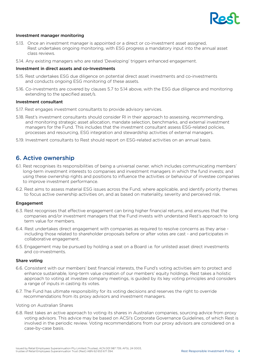

#### Investment manager monitoring

- 5.13. Once an investment manager is appointed or a direct or co-investment asset assigned, Rest undertakes ongoing monitoring, with ESG progress a mandatory input into the annual asset class reviews.
- 5.14. Any existing managers who are rated 'Developing' triggers enhanced engagement.

#### Investment in direct assets and co-Investments

- 5.15. Rest undertakes ESG due diligence on potential direct asset investments and co-investments and conducts ongoing ESG monitoring of these assets.
- 5.16. Co-investments are covered by clauses 5.7 to 5.14 above, with the ESG due diligence and monitoring extending to the specified asset/s.

#### Investment consultant

- 5.17. Rest engages investment consultants to provide advisory services.
- 5.18. Rest's investment consultants should consider RI in their approach to assessing, recommending, and monitoring strategic asset allocation, mandate selection, benchmarks, and external investment managers for the Fund. This includes that the investment consultant assess ESG-related policies, processes and resourcing, ESG integration and stewardship activities of external managers.
- 5.19. Investment consultants to Rest should report on ESG-related activities on an annual basis.

## 6. Active ownership

- 6.1. Rest recognises its responsibilities of being a universal owner, which includes communicating members' long-term investment interests to companies and investment managers in which the fund invests; and using these ownership rights and positions to influence the activities or behaviour of investee companies to improve investment performance.
- 6.2. Rest aims to assess material ESG issues across the Fund, where applicable, and identify priority themes to focus active ownership activities on, and as based on materiality, severity and perceived risk.

#### Engagement

- 6.3. Rest recognises that effective engagement can bring higher financial returns, and ensures that the companies and/or investment managers that the Fund invests with understand Rest's approach to long term value for members.
- 6.4. Rest undertakes direct engagement with companies as required to resolve concerns as they arise including those related to shareholder proposals before or after votes are cast - and participates in collaborative engagement.
- 6.5. Engagement may be pursued by holding a seat on a Board i.e. for unlisted asset direct investments and co-investments.

#### Share voting

- 6.6. Consistent with our members' best financial interests, the Fund's voting activities aim to protect and enhance sustainable, long-term value creation of our members' equity holdings. Rest takes a holistic approach to voting at investee company meetings, is guided by its key voting principles and considers a range of inputs in casting its votes.
- 6.7. The Fund has ultimate responsibility for its voting decisions and reserves the right to override recommendations from its proxy advisors and investment managers.

#### Voting on Australian Shares

6.8. Rest takes an active approach to voting its shares in Australian companies, sourcing advice from proxy voting advisors. This advice may be based on ACSI's Corporate Governance Guidelines, of which Rest is involved in the periodic review. Voting recommendations from our proxy advisors are considered on a case-by-case basis.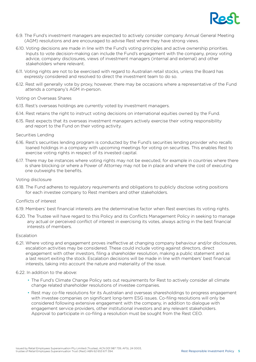

- 6.9. The Fund's investment managers are expected to actively consider company Annual General Meeting (AGM) resolutions and are encouraged to advise Rest where they have strong views.
- 6.10. Voting decisions are made in line with the Fund's voting principles and active ownership priorities. Inputs to vote decision-making can include the Fund's engagement with the company, proxy voting advice, company disclosures, views of investment managers (internal and external) and other stakeholders where relevant.
- 6.11. Voting rights are not to be exercised with regard to Australian retail stocks, unless the Board has expressly considered and resolved to direct the investment team to do so.
- 6.12. Rest will generally vote by proxy, however, there may be occasions where a representative of the Fund attends a company's AGM in-person.

#### Voting on Overseas Shares

- 6.13. Rest's overseas holdings are currently voted by investment managers.
- 6.14. Rest retains the right to instruct voting decisions on international equities owned by the Fund.
- 6.15. Rest expects that its overseas investment managers actively exercise their voting responsibility and report to the Fund on their voting activity.

#### Securities Lending

- 6.16. Rest's securities lending program is conducted by the Fund's securities lending provider who recalls loaned holdings in a company with upcoming meetings for voting on securities. This enables Rest to exercise voting rights in respect of its invested capital.
- 6.17. There may be instances where voting rights may not be executed, for example in countries where there is share blocking or where a Power of Attorney may not be in place and where the cost of executing one outweighs the benefits.

#### Voting disclosure

6.18. The Fund adheres to regulatory requirements and obligations to publicly disclose voting positions for each investee company to Rest members and other stakeholders.

#### Conflicts of interest

- 6.19. Members' best financial interests are the determinative factor when Rest exercises its voting rights.
- 6.20. The Trustee will have regard to this Policy and its Conflicts Management Policy in seeking to manage any actual or perceived conflict of interest in exercising its votes, always acting in the best financial interests of members.

#### Escalation

6.21. Where voting and engagement proves ineffective at changing company behaviour and/or disclosures, escalation activities may be considered. These could include voting against directors, direct engagement with other investors, filing a shareholder resolution, making a public statement and as a last resort exiting the stock. Escalation decisions will be made in line with members' best financial interests, taking into account the nature and materiality of the issue.

#### 6.22. In addition to the above:

- The Fund's Climate Change Policy sets out requirements for Rest to actively consider all climate change related shareholder resolutions of investee companies.
- Rest may co-file resolutions for its Australian and overseas sharesholdings to progress engagement with investee companies on significant long-term ESG issues. Co-filing resolutions will only be considered following extensive engagement with the company, in addition to dialogue with engagement service providers, other institutional investors and any relevant stakeholders. Approval to participate in co-filing a resolution must be sought from the Rest CEO.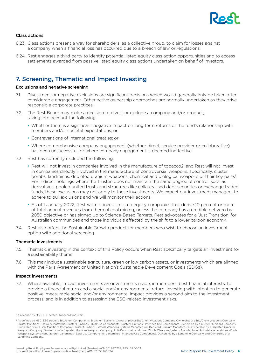

#### Class actions

- 6.23. Class actions present a way for shareholders, as a collective group, to claim for losses against a company when a financial loss has occurred due to a breach of law or regulations.
- 6.24. Rest engages a third party to identify potential listed equity class action opportunities and to access settlements awarded from passive listed equity class actions undertaken on behalf of investors.

# 7. Screening, Thematic and Impact Investing

#### Exclusions and negative screening

- 7.1. Divestment or negative exclusions are significant decisions which would generally only be taken after considerable engagement. Other active ownership approaches are normally undertaken as they drive responsible corporate practices.
- 7.2. The Rest Board may make a decision to divest or exclude a company and/or product, taking into account the following:
	- Whether there is a significant negative impact on long term returns or the fund's relationship with members and/or societal expectations; or
	- Contraventions of international treaties; or
	- Where comprehensive company engagement (whether direct, service provider or collaborative) has been unsuccessful, or where company engagement is deemed ineffective.
- 7.3. Rest has currently excluded the following:
	- Rest will not invest in companies involved in the manufacture of tobacco2; and Rest will not invest in companies directly involved in the manufacture of controversial weapons, specifically, cluster bombs, landmines, depleted uranium weapons, chemical and biological weapons or their key parts<sup>3</sup>. For indirect holdings where the Trustee does not maintain the same degree of control, such as derivatives, pooled united trusts and structures like collateralised debt securities or exchange traded funds, these exclusions may not apply to these investments. We expect our investment managers to adhere to our exclusions and we will monitor their actions.
	- As of 1 January 2022, Rest will not invest in listed equity companies that derive 10 percent or more of total annual revenues from thermal coal mining, unless the company has a credible net zero by 2050 objective or has signed up to Science-Based Targets. Rest advocates for a 'Just Transition' for Australian communities and those individuals affected by the shift to a lower carbon economy.
- 7.4. Rest also offers the Sustainable Growth product for members who wish to choose an investment option with additional screening.

#### Thematic investments

- 7.5. Thematic investing in the context of this Policy occurs when Rest specifically targets an investment for a sustainability theme.
- 7.6. This may include sustainable agriculture, green or low carbon assets, or investments which are aligned with the Paris Agreement or United Nation's Sustainable Development Goals (SDGs).

#### Impact investments

7.7. Where available, impact investments are investments made, in members' best financial interests, to provide a financial return and a social and/or environmental return. Investing with intention to generate positive, measurable social and/or environmental impact provides a second aim to the investment process, and is in addition to assessing the ESG-related investment risks.

<sup>2</sup> As defined by MSCI ESG screen: Tobacco Producers.

<sup>&</sup>lt;sup>3</sup> As defined by MSCI ESG screens: Bio/chem Components, Bio/chem Systems, Ownership by a Bio/Chem Weapons Company, Ownership of a Bio/Chem Weapons Company, Cluster Munitions - Delivery Platforms, Cluster Munitions - Dual Use Components, Cluster Munitions - Intended Use Components, Ownership by a Cluster Munitions Company, Ownership of a Cluster Munitions Company, Cluster Munitions - Whole Weapons Systems Manufacturer, Depleted Uranium Manufacturer, Ownership by a Depleted Uranium Weapons Company, Ownership of a Depleted Uranium Weapons Company, Anti-Personnel Landmines Whole Weapons Systems Manufacturer, Anti-Vehicle Landmine Whole Weapons Systems Manufacturer, Landmines - Dual Use Components, Landmines - Intended Use Components, Ownership by a Landmine Company, and Ownership of a Landmine Company.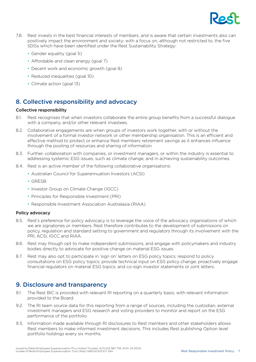

- 7.8. Rest invests in the best financial interests of members, and is aware that certain investments also can positively impact the environment and society; with a focus on, although not restricted to, the five SDGs which have been identified under the Rest Sustainability Strategy:
	- Gender equality (goal 5)
	- Affordable and clean energy (goal 7)
	- Decent work and economic growth (goal 8)
	- Reduced inequalities (goal 10)
	- Climate action (goal 13)

# 8. Collective responsibility and advocacy

#### Collective responsibility

- 8.1. Rest recognises that when investors collaborate the entire group benefits from a successful dialogue with a company, and/or other relevant investees.
- 8.2. Collaborative engagements are when groups of investors work together, with or without the involvement of a formal investor network or other membership organisation. This is an efficient and effective method to protect or enhance Rest members retirement savings as it enhances influence through the pooling of resources and sharing of information.
- 8.3. Further, collaboration with companies, or investment managers, or within the industry is essential to addressing systemic ESG issues, such as climate change, and in achieving sustainability outcomes.
- 8.4. Rest is an active member of the following collaborative organisations:
	- Australian Council for Superannuation Investors (ACSI)
	- GRESB
	- Investor Group on Climate Change (IGCC)
	- Principles for Responsible Investment (PRI)
	- Responsible Investment Association Australasia (RIAA)

#### Policy advocacy

- 8.5. Rest's preference for policy advocacy is to leverage the voice of the advocacy organisations of which we are signatories or members. Rest therefore contributes to the development of submissions on policy, regulation and standard setting to government and regulators through its involvement with the PRI, ACSI, IGCC and RIAA.
- 8.6. Rest may though opt to make independent submissions, and engage with policymakers and industry bodies directly to advocate for positive change on material ESG issues.
- 8.7. Rest may also opt to participate in 'sign on' letters on ESG policy topics; respond to policy consultations on ESG policy topics; provide technical input on ESG policy change; proactively engage financial regulators on material ESG topics; and co-sign investor statements or joint letters.

## 9. Disclosure and transparency

- 9.1. The Rest BIC is provided with relevant RI reporting on a quarterly basis, with relevant information provided to the Board.
- 9.2. The RI team source data for this reporting from a range of sources, including the custodian, external investment managers and ESG research and voting providers to monitor and report on the ESG performance of the portfolio.
- 9.3. Information made available through RI disclosures to Rest members and other stakeholders allows Rest members to make informed investment decisions. This includes Rest publishing Option level portfolio holdings every six months.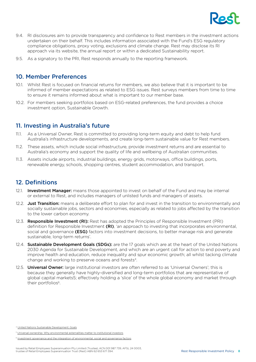

- 9.4. RI disclosures aim to provide transparency and confidence to Rest members in the investment actions undertaken on their behalf. This includes information associated with the Fund's ESG regulatory compliance obligations, proxy voting, exclusions and climate change. Rest may disclose its RI approach via its website, the annual report or within a dedicated Sustainability report.
- 9.5. As a signatory to the PRI, Rest responds annually to the reporting framework.

## 10. Member Preferences

- 10.1. Whilst Rest is focused on financial returns for members, we also believe that it is important to be informed of member expectations as related to ESG issues. Rest surveys members from time to time to ensure it remains informed about what is important to our member base.
- 10.2. For members seeking portfolios based on ESG-related preferences, the fund provides a choice investment option, Sustainable Growth.

# 11. Investing in Australia's future

- 11.1. As a Universal Owner, Rest is committed to providing long-term equity and debt to help fund Australia's infrastructure developments, and create long-term sustainable value for Rest members.
- 11.2. These assets, which include social infrastructure, provide investment returns and are essential to Australia's economy and support the quality of life and wellbeing of Australian communities.
- 11.3. Assets include airports, industrial buildings, energy grids, motorways, office buildings, ports, renewable energy, schools, shopping centres, student accommodation, and transport.

# 12. Definitions

- 12.1. Investment Manager: means those appointed to invest on behalf of the Fund and may be internal or external to Rest, and includes managers of unlisted funds and managers of assets.
- 12.2. **Just Transition:** means a deliberate effort to plan for and invest in the transition to environmentally and socially sustainable jobs, sectors and economies, especially as related to jobs affected by the transition to the lower carbon economy.
- 12.3. Responsible Investment (RI): Rest has adopted the Principles of Responsible Investment (PRI) definition for Responsible Investment (RI), 'an approach to investing that incorporates environmental, social and governance (ESG) factors into investment decisions, to better manage risk and generate sustainable, long-term returns'.
- 12.4. **Sustainable Development Goals (SDGs):** are the 17 goals which are at the heart of the United Nations 2030 Agenda for Sustainable Development, and which are an urgent call for action to end poverty and improve health and education, reduce inequality and spur economic growth; all whilst tacking climate change and working to preserve oceans and forests<sup>4</sup>.
- 12.5. **Universal Owner:** large institutional investors are often referred to as 'Universal Owners'; this is because they generally have highly-diversified and long-term portfolios that are representative of global capital markets5; effectively holding a 'slice' of the whole global economy and market through their portfolios<sup>6</sup>.

<sup>4</sup> United Nations Sustainable Development: Goals

ersal ownership: Why environmental externalities matter to institutional investors

<sup>6</sup> Investment governance and the integration of environmental, social and governance factors